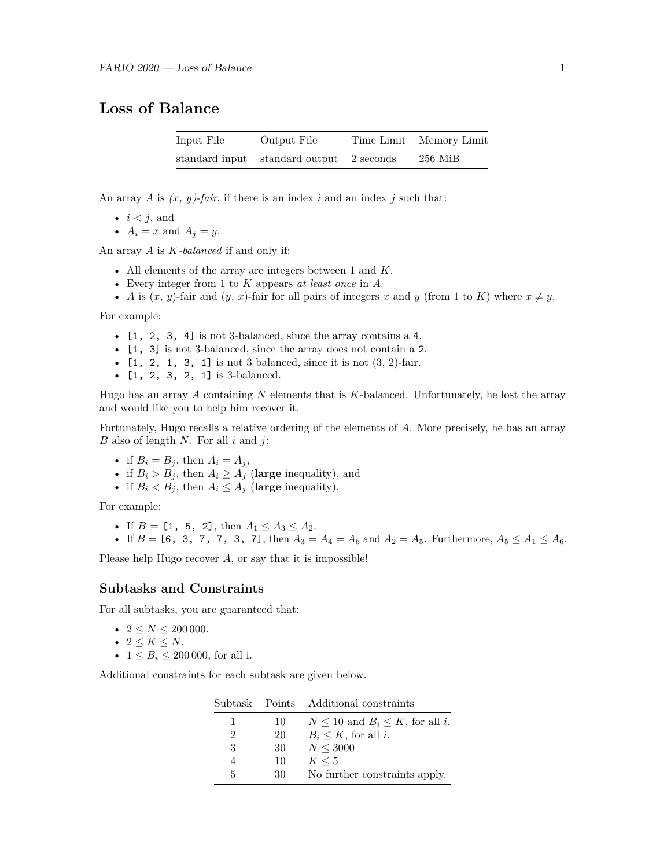# **Loss of Balance**

| Input File | Output File                              | Time Limit Memory Limit |
|------------|------------------------------------------|-------------------------|
|            | standard input standard output 2 seconds | 256 MiB                 |

An array *A* is  $(x, y)$ -fair, if there is an index *i* and an index *j* such that:

- $\bullet \ \ i < j, \text{ and}$
- $A_i = x$  and  $A_j = y$ .

An array *A* is *K-balanced* if and only if:

- All elements of the array are integers between 1 and *K*.
- Every integer from 1 to *K* appears *at least once* in *A*.
- *A* is  $(x, y)$ -fair and  $(y, x)$ -fair for all pairs of integers *x* and *y* (from 1 to *K*) where  $x \neq y$ .

For example:

- [1, 2, 3, 4] is not 3-balanced, since the array contains a 4.
- [1, 3] is not 3-balanced, since the array does not contain a 2.
- $[1, 2, 1, 3, 1]$  is not 3 balanced, since it is not  $(3, 2)$ -fair.
- [1, 2, 3, 2, 1] is 3-balanced.

Hugo has an array *A* containing *N* elements that is *K*-balanced. Unfortunately, he lost the array and would like you to help him recover it.

Fortunately, Hugo recalls a relative ordering of the elements of *A*. More precisely, he has an array *B* also of length *N*. For all *i* and *j*:

- if  $B_i = B_j$ , then  $A_i = A_j$ ,
- if  $B_i > B_j$ , then  $A_i \geq A_j$  (large inequality), and
- if  $B_i < B_j$ , then  $A_i \leq A_j$  (large inequality).

For example:

- If  $B = [1, 5, 2]$ , then  $A_1 \le A_3 \le A_2$ .
- If  $B = [6, 3, 7, 7, 3, 7]$ , then  $A_3 = A_4 = A_6$  and  $A_2 = A_5$ . Furthermore,  $A_5 \le A_1 \le A_6$ .

Please help Hugo recover *A*, or say that it is impossible!

#### **Subtasks and Constraints**

For all subtasks, you are guaranteed that:

- $2 \le N \le 200000$ .
- $2 \leq K \leq N$ .
- $1 \leq B_i \leq 200000$ , for all i.

Additional constraints for each subtask are given below.

|   |    | Subtask Points Additional constraints     |
|---|----|-------------------------------------------|
| 1 | 10 | $N \leq 10$ and $B_i \leq K$ , for all i. |
| 2 | 20 | $B_i \leq K$ , for all i.                 |
| 3 | 30 | N < 3000                                  |
| 4 | 10 | $K \leq 5$                                |
| 5 | 30 | No further constraints apply.             |